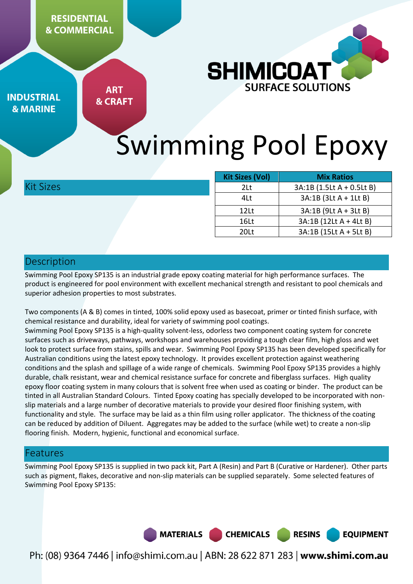**RESIDENTIAL & COMMERCIAL** 



**INDUSTRIAL & MARINE** 

**ART & CRAFT** 

# Swimming Pool Epoxy

Kit Sizes

| <b>Kit Sizes (Vol)</b><br><b>Mix Ratios</b> |                           |  |  |
|---------------------------------------------|---------------------------|--|--|
| 2Lt                                         | 3A:1B (1.5Lt A + 0.5Lt B) |  |  |
| 4Lt                                         | 3A:1B (3Lt A + 1Lt B)     |  |  |
| 12 <sub>Lt</sub>                            | 3A:1B (9Lt A + 3Lt B)     |  |  |
| 16Lt                                        | 3A:1B (12Lt A + 4Lt B)    |  |  |
| 20 <sub>lt</sub>                            | 3A:1B (15Lt A + 5Lt B)    |  |  |

## Description

Swimming Pool Epoxy SP135 is an industrial grade epoxy coating material for high performance surfaces. The product is engineered for pool environment with excellent mechanical strength and resistant to pool chemicals and superior adhesion properties to most substrates.

Two components (A & B) comes in tinted, 100% solid epoxy used as basecoat, primer or tinted finish surface, with chemical resistance and durability, ideal for variety of swimming pool coatings.

Swimming Pool Epoxy SP135 is a high-quality solvent-less, odorless two component coating system for concrete surfaces such as driveways, pathways, workshops and warehouses providing a tough clear film, high gloss and wet look to protect surface from stains, spills and wear. Swimming Pool Epoxy SP135 has been developed specifically for Australian conditions using the latest epoxy technology. It provides excellent protection against weathering conditions and the splash and spillage of a wide range of chemicals. Swimming Pool Epoxy SP135 provides a highly durable, chalk resistant, wear and chemical resistance surface for concrete and fiberglass surfaces. High quality epoxy floor coating system in many colours that is solvent free when used as coating or binder. The product can be tinted in all Australian Standard Colours. Tinted Epoxy coating has specially developed to be incorporated with nonslip materials and a large number of decorative materials to provide your desired floor finishing system, with functionality and style. The surface may be laid as a thin film using roller applicator. The thickness of the coating can be reduced by addition of Diluent. Aggregates may be added to the surface (while wet) to create a non-slip flooring finish. Modern, hygienic, functional and economical surface.

## Features

Swimming Pool Epoxy SP135 is supplied in two pack kit, Part A (Resin) and Part B (Curative or Hardener). Other parts such as pigment, flakes, decorative and non-slip materials can be supplied separately. Some selected features of Swimming Pool Epoxy SP135:



Ph: (08) 9364 7446 | info@shimi.com.au | ABN: 28 622 871 283 | www.shimi.com.au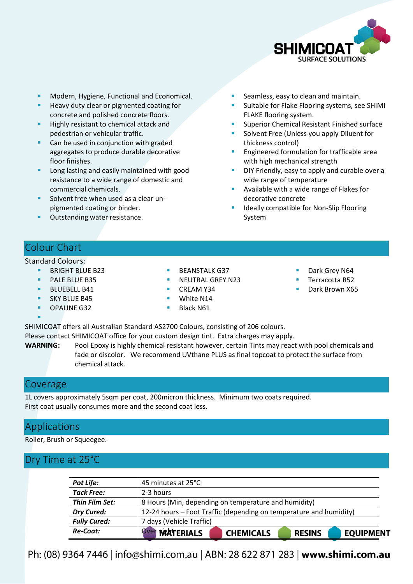

- Modern, Hygiene, Functional and Economical.
- Heavy duty clear or pigmented coating for concrete and polished concrete floors.
- Highly resistant to chemical attack and pedestrian or vehicular traffic.
- Can be used in conjunction with graded aggregates to produce durable decorative floor finishes.
- Long lasting and easily maintained with good resistance to a wide range of domestic and commercial chemicals.
- Solvent free when used as a clear unpigmented coating or binder.
- Outstanding water resistance.
- Seamless, easy to clean and maintain.
- Suitable for Flake Flooring systems, see SHIMI FLAKE flooring system.
- Superior Chemical Resistant Finished surface
- Solvent Free (Unless you apply Diluent for thickness control)
- Engineered formulation for trafficable area with high mechanical strength
- DIY Friendly, easy to apply and curable over a wide range of temperature
- Available with a wide range of Flakes for decorative concrete
- Ideally compatible for Non-Slip Flooring System

## Colour Chart

#### Standard Colours:

- BRIGHT BLUE B23
- PALE BLUE B35
- BLUEBELL B41
- SKY BLUE B45
- OPALINE G32
- BEANSTALK G37
- NEUTRAL GREY N23
- CREAM Y34
- White N14
- Black N61
- Dark Grey N64
- Terracotta R52
- Dark Brown X65

SHIMICOAT offers all Australian Standard AS2700 Colours, consisting of 206 colours. Please contact SHIMICOAT office for your custom design tint. Extra charges may apply.

**WARNING:** Pool Epoxy is highly chemical resistant however, certain Tints may react with pool chemicals and fade or discolor. We recommend UVthane PLUS as final topcoat to protect the surface from chemical attack.

#### Coverage

F

1L covers approximately 5sqm per coat, 200micron thickness. Minimum two coats required. First coat usually consumes more and the second coat less.

## Applications

Roller, Brush or Squeegee.

## Dry Time at 25°C

| Re-Coat:            | <b>Over WEATERIALS</b>   | <b>CHEMICALS</b>                                                   | <b>RESINS</b> | <b>EQUIPMENT</b> |  |  |
|---------------------|--------------------------|--------------------------------------------------------------------|---------------|------------------|--|--|
| <b>Fully Cured:</b> | 7 days (Vehicle Traffic) |                                                                    |               |                  |  |  |
| <b>Dry Cured:</b>   |                          | 12-24 hours – Foot Traffic (depending on temperature and humidity) |               |                  |  |  |
| Thin Film Set:      |                          | 8 Hours (Min, depending on temperature and humidity)               |               |                  |  |  |
| <b>Tack Free:</b>   | 2-3 hours                |                                                                    |               |                  |  |  |
| Pot Life:           | 45 minutes at 25°C       |                                                                    |               |                  |  |  |

Ph: (08) 9364 7446 | info@shimi.com.au | ABN: 28 622 871 283 | www.shimi.com.au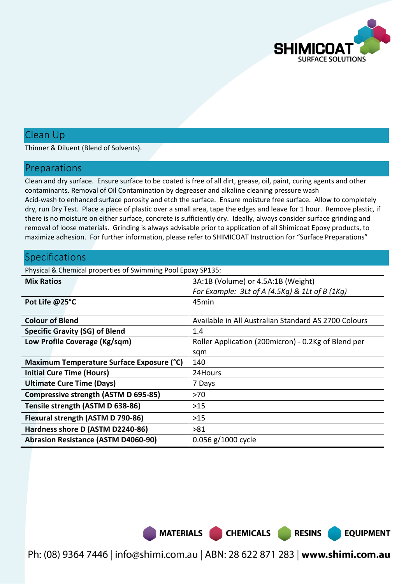

## Clean Up

Thinner & Diluent (Blend of Solvents).

#### Preparations

Clean and dry surface. Ensure surface to be coated is free of all dirt, grease, oil, paint, curing agents and other contaminants. Removal of Oil Contamination by degreaser and alkaline cleaning pressure wash Acid-wash to enhanced surface porosity and etch the surface. Ensure moisture free surface. Allow to completely dry, run Dry Test. Place a piece of plastic over a small area, tape the edges and leave for 1 hour. Remove plastic, if there is no moisture on either surface, concrete is sufficiently dry. Ideally, always consider surface grinding and removal of loose materials. Grinding is always advisable prior to application of all Shimicoat Epoxy products, to maximize adhesion. For further information, please refer to SHIMICOAT Instruction for "Surface Preparations"

#### **Specifications**

Physical & Chemical properties of Swimming Pool Epoxy SP135:

| <b>Mix Ratios</b>                           | 3A:1B (Volume) or 4.5A:1B (Weight)                   |
|---------------------------------------------|------------------------------------------------------|
|                                             | For Example: $3$ Lt of A (4.5Kg) & 1Lt of B (1Kg)    |
| Pot Life @25°C                              | 45 <sub>min</sub>                                    |
|                                             |                                                      |
| <b>Colour of Blend</b>                      | Available in All Australian Standard AS 2700 Colours |
| <b>Specific Gravity (SG) of Blend</b>       | 1.4                                                  |
| Low Profile Coverage (Kg/sqm)               | Roller Application (200micron) - 0.2Kg of Blend per  |
|                                             | sqm                                                  |
| Maximum Temperature Surface Exposure (°C)   | 140                                                  |
| <b>Initial Cure Time (Hours)</b>            | 24Hours                                              |
| <b>Ultimate Cure Time (Days)</b>            | 7 Days                                               |
| <b>Compressive strength (ASTM D 695-85)</b> | >70                                                  |
| Tensile strength (ASTM D 638-86)            | $>15$                                                |
| Flexural strength (ASTM D 790-86)           | >15                                                  |
| Hardness shore D (ASTM D2240-86)            | >81                                                  |
| <b>Abrasion Resistance (ASTM D4060-90)</b>  | 0.056 g/1000 cycle                                   |

MATERIALS CHEMICALS RESINS

Ph: (08) 9364 7446 | info@shimi.com.au | ABN: 28 622 871 283 | www.shimi.com.au

**EQUIPMENT**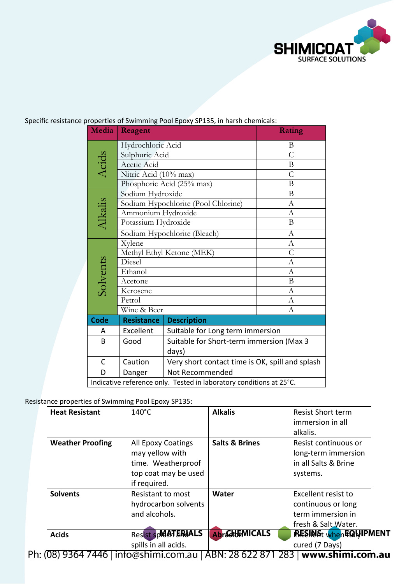

#### Specific resistance properties of Swimming Pool Epoxy SP135, in harsh chemicals:

| Media        | Reagent                      | Rating                                                              |                |  |  |
|--------------|------------------------------|---------------------------------------------------------------------|----------------|--|--|
|              | Hydrochloric Acid            | B                                                                   |                |  |  |
| Acids        | Sulphuric Acid               |                                                                     | $\overline{C}$ |  |  |
|              | Acetic Acid                  |                                                                     | B              |  |  |
|              | Nitric Acid (10% max)        | $\mathcal{C}$                                                       |                |  |  |
|              |                              | Phosphoric Acid (25% max)                                           | B              |  |  |
|              | Sodium Hydroxide             |                                                                     | B              |  |  |
|              |                              | Sodium Hypochlorite (Pool Chlorine)                                 | $\mathbf{A}$   |  |  |
|              | Ammonium Hydroxide           |                                                                     | A              |  |  |
| Alkalis      | Potassium Hydroxide          | $\bf{B}$                                                            |                |  |  |
|              | Sodium Hypochlorite (Bleach) | A                                                                   |                |  |  |
|              | Xylene                       |                                                                     | А              |  |  |
|              | Methyl Ethyl Ketone (MEK)    | $\overline{C}$                                                      |                |  |  |
| Solvents     | Diesel                       | A                                                                   |                |  |  |
|              | Ethanol                      | А                                                                   |                |  |  |
|              | Acetone                      | В                                                                   |                |  |  |
|              | Kerosene                     |                                                                     | А              |  |  |
|              | Petrol                       |                                                                     | A              |  |  |
|              | Wine & Beer                  |                                                                     | $\overline{A}$ |  |  |
| <b>Code</b>  | <b>Resistance</b>            | <b>Description</b>                                                  |                |  |  |
| A            | Excellent                    | Suitable for Long term immersion                                    |                |  |  |
| B            | Good                         | Suitable for Short-term immersion (Max 3                            |                |  |  |
|              |                              | days)                                                               |                |  |  |
| $\mathsf{C}$ | Caution                      | Very short contact time is OK, spill and splash                     |                |  |  |
| D            | Danger                       | Not Recommended                                                     |                |  |  |
|              |                              | Indicative reference only. Tested in laboratory conditions at 25°C. |                |  |  |

#### Resistance properties of Swimming Pool Epoxy SP135:

| <b>Heat Resistant</b>   | $140^{\circ}$ C                                                                                     | <b>Alkalis</b>            | <b>Resist Short term</b><br>immersion in all<br>alkalis.                              |  |  |
|-------------------------|-----------------------------------------------------------------------------------------------------|---------------------------|---------------------------------------------------------------------------------------|--|--|
| <b>Weather Proofing</b> | All Epoxy Coatings<br>may yellow with<br>time. Weatherproof<br>top coat may be used<br>if required. | <b>Salts &amp; Brines</b> | Resist continuous or<br>long-term immersion<br>in all Salts & Brine<br>systems.       |  |  |
| <b>Solvents</b>         | Resistant to most<br>hydrocarbon solvents<br>and alcohols.                                          |                           | Excellent resist to<br>continuous or long<br>term immersion in<br>fresh & Salt Water. |  |  |
| <b>Acids</b><br>.       | Resist spMATERIALS<br>spills in all acids.                                                          | <b>Abr&amp;HEMICALS</b>   | <b>BESINAt whenEQWIPMENT</b><br>cured (7 Days)                                        |  |  |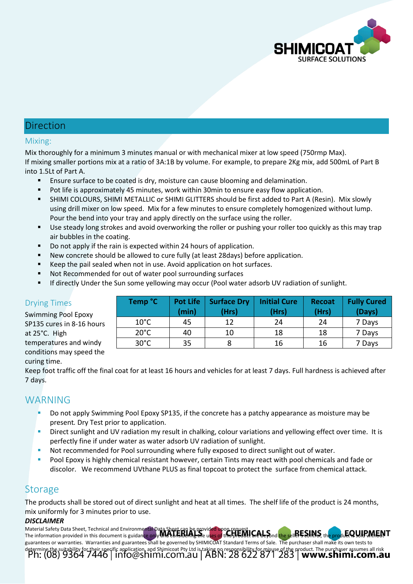

## Direction

#### Mixing:

Mix thoroughly for a minimum 3 minutes manual or with mechanical mixer at low speed (750rmp Max). If mixing smaller portions mix at a ratio of 3A:1B by volume. For example, to prepare 2Kg mix, add 500mL of Part B into 1.5Lt of Part A.

- Ensure surface to be coated is dry, moisture can cause blooming and delamination.
- **Pot life is approximately 45 minutes, work within 30min to ensure easy flow application.**
- SHIMI COLOURS, SHIMI METALLIC or SHIMI GLITTERS should be first added to Part A (Resin). Mix slowly using drill mixer on low speed. Mix for a few minutes to ensure completely homogenized without lump. Pour the bend into your tray and apply directly on the surface using the roller.
- Use steady long strokes and avoid overworking the roller or pushing your roller too quickly as this may trap air bubbles in the coating.
- Do not apply if the rain is expected within 24 hours of application.
- New concrete should be allowed to cure fully (at least 28days) before application.
- Keep the pail sealed when not in use. Avoid application on hot surfaces.
- Not Recommended for out of water pool surrounding surfaces
- If directly Under the Sun some yellowing may occur (Pool water adsorb UV radiation of sunlight.

| ͻοχν         | Temp °C        | <b>Pot Life</b><br>(min) | <b>Surface Dry</b><br>(Hrs) | <b>Initial Cure</b><br>(Hrs) | <b>Recoat</b><br>(Hrs) | <b>Fully Cured</b><br>(Days) |
|--------------|----------------|--------------------------|-----------------------------|------------------------------|------------------------|------------------------------|
| L6 hours     | $10^{\circ}$ C | 45                       | 12                          | 24                           | 24                     | 7 Days                       |
|              | $20^{\circ}$ C | 40                       | 10                          | 18                           | 18                     | 7 Days                       |
| l windy<br>. | $30^{\circ}$ C | 35                       |                             | 16                           | 16                     | 7 Days                       |

#### Drying Times

Swimming Pool Ep SP135 cures in 8-1 at 25°C. High temperatures and conditions may speed the

Keep foot traffic off the final coat for at least 16 hours and vehicles for at least 7 days. Full hardness is achieved after 7 days.

## WARNING

curing time.

- Do not apply Swimming Pool Epoxy SP135, if the concrete has a patchy appearance as moisture may be present*.* Dry Test prior to application.
- Direct sunlight and UV radiation my result in chalking, colour variations and yellowing effect over time. It is perfectly fine if under water as water adsorb UV radiation of sunlight.
- Not recommended for Pool surrounding where fully exposed to direct sunlight out of water.
- Pool Epoxy is highly chemical resistant however, certain Tints may react with pool chemicals and fade or discolor. We recommend UVthane PLUS as final topcoat to protect the surface from chemical attack.

## **Storage**

The products shall be stored out of direct sunlight and heat at all times. The shelf life of the product is 24 months, mix uniformly for 3 minutes prior to use.

#### *DISCLAIMER*

Material Safety Data Sheet, Technical and Environmental Data Sheet can be provided upon request. The information provided in this document is guidance only and considering the uses of this product are beyond the seller's control, the product is sold without guarantees or warranties. Warranties and guarantees shall be governed by SHIMICOAT Standard Terms of Sale. The purchaser shall make its own tests to determine the suitability for their specific application, and Shimicoat Pty Ltd is taking no responsibility for misuse of the product. The purchaser assumes all risk<br>Ph: (08) 9364 7446 | info@Shimi.com.au | ABN: 28 622 87